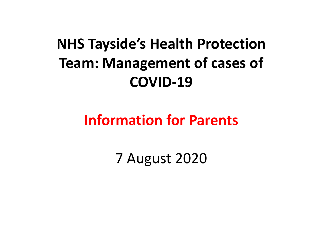#### NHS Tayside's Health Protection Team: Management of cases of COVID-19

#### Information for Parents

7 August 2020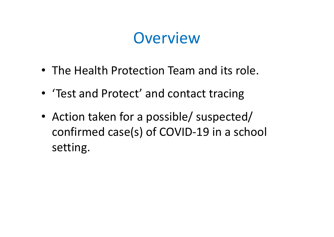#### **Overview**

- The Health Protection Team and its role.
- 'Test and Protect' and contact tracing
- Action taken for a possible/ suspected/ confirmed case(s) of COVID-19 in a school setting.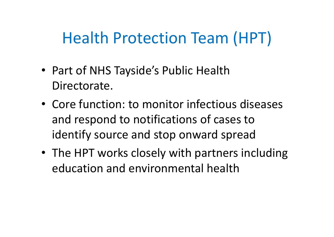## Health Protection Team (HPT)

- Part of NHS Tayside's Public Health Directorate.
- Core function: to monitor infectious diseases and respond to notifications of cases to identify source and stop onward spread
- The HPT works closely with partners including education and environmental health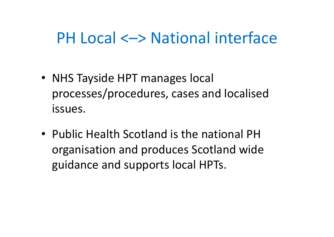#### PH Local <–> National interface

- NHS Tayside HPT manages local processes/procedures, cases and localised issues.
- Public Health Scotland is the national PH organisation and produces Scotland wide guidance and supports local HPTs.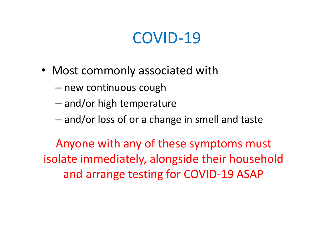#### COVID-19

- Most commonly associated with
	- new continuous cough
	- and/or high temperature
	- and/or loss of or a change in smell and taste

Anyone with any of these symptoms must isolate immediately, alongside their household and arrange testing for COVID-19 ASAP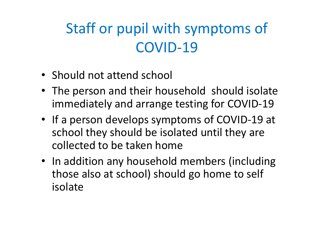#### Staff or pupil with symptoms of COVID-19

- Should not attend school
- The person and their household should isolate immediately and arrange testing for COVID-19
- If a person develops symptoms of COVID-19 at school they should be isolated until they are collected to be taken home
- In addition any household members (including those also at school) should go home to self isolate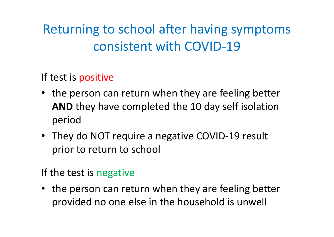#### Returning to school after having symptoms consistent with COVID-19

If test is positive

- the person can return when they are feeling better AND they have completed the 10 day self isolation period
- They do NOT require a negative COVID-19 result prior to return to school

If the test is negative

• the person can return when they are feeling better provided no one else in the household is unwell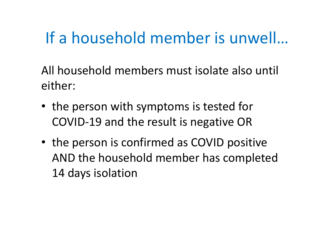## If a household member is unwell…

All household members must isolate also until either:

- the person with symptoms is tested for COVID-19 and the result is negative OR
- the person is confirmed as COVID positive AND the household member has completed 14 days isolation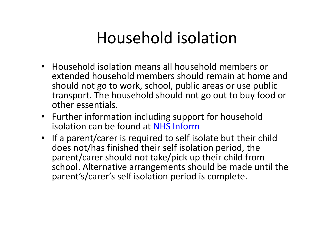#### Household isolation

- Household isolation means all household members or extended household members should remain at home and should not go to work, school, public areas or use public transport. The household should not go out to buy food or other essentials.
- Further information including support for household isolation can be found at NHS Inform
- If a parent/carer is required to self isolate but their child does not/has finished their self isolation period, the parent/carer should not take/pick up their child from school. Alternative arrangements should be made until the parent's/carer's self isolation period is complete.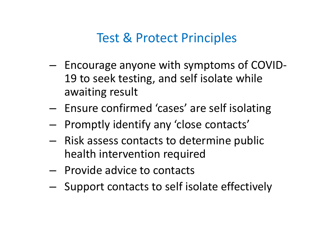#### Test & Protect Principles

- Encourage anyone with symptoms of COVID-19 to seek testing, and self isolate while awaiting result
- Ensure confirmed 'cases' are self isolating
- Promptly identify any 'close contacts'
- Risk assess contacts to determine public health intervention required
- Provide advice to contacts
- Support contacts to self isolate effectively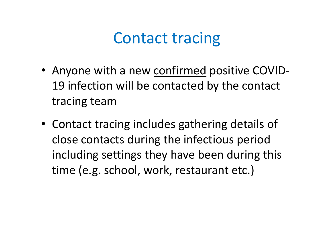#### Contact tracing

- Anyone with a new confirmed positive COVID-19 infection will be contacted by the contact tracing team
- Contact tracing includes gathering details of close contacts during the infectious period including settings they have been during this time (e.g. school, work, restaurant etc.)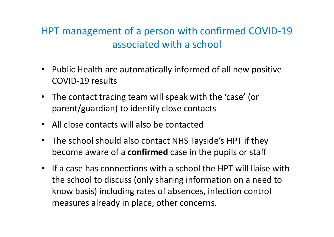#### HPT management of a person with confirmed COVID-19 associated with a school

- Public Health are automatically informed of all new positive COVID-19 results
- The contact tracing team will speak with the 'case' (or parent/guardian) to identify close contacts
- All close contacts will also be contacted
- The school should also contact NHS Tayside's HPT if they become aware of a **confirmed** case in the pupils or staff
- If a case has connections with a school the HPT will liaise with the school to discuss (only sharing information on a need to know basis) including rates of absences, infection control measures already in place, other concerns.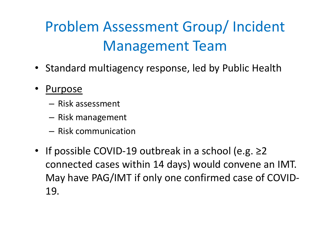## Problem Assessment Group/ Incident Management Team

- Standard multiagency response, led by Public Health
- Purpose
	- Risk assessment
	- Risk management
	- Risk communication
- If possible COVID-19 outbreak in a school (e.g. ≥2 connected cases within 14 days) would convene an IMT. May have PAG/IMT if only one confirmed case of COVID-19.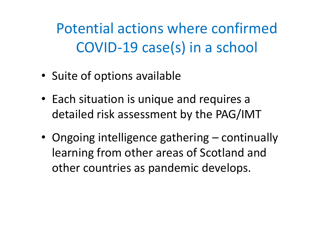Potential actions where confirmed COVID-19 case(s) in a school

- Suite of options available
- Each situation is unique and requires a detailed risk assessment by the PAG/IMT
- Suite of options available<br>• Each situation is unique and requires a<br>detailed risk assessment by the PAG/IMT<br>• Ongoing intelligence gathering continually<br>learning from other areas of Scotland and<br>other countries as pan learning from other areas of Scotland and other countries as pandemic develops.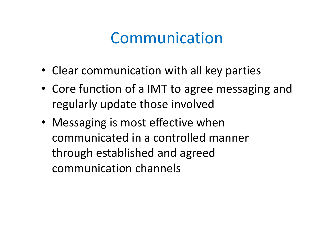#### Communication

- Clear communication with all key parties
- Core function of a IMT to agree messaging and regularly update those involved
- Messaging is most effective when communicated in a controlled manner through established and agreed communication channels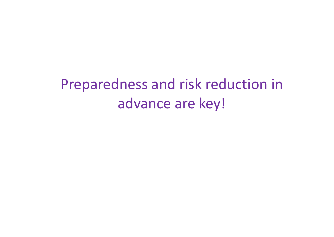#### Preparedness and risk reduction in advance are key!